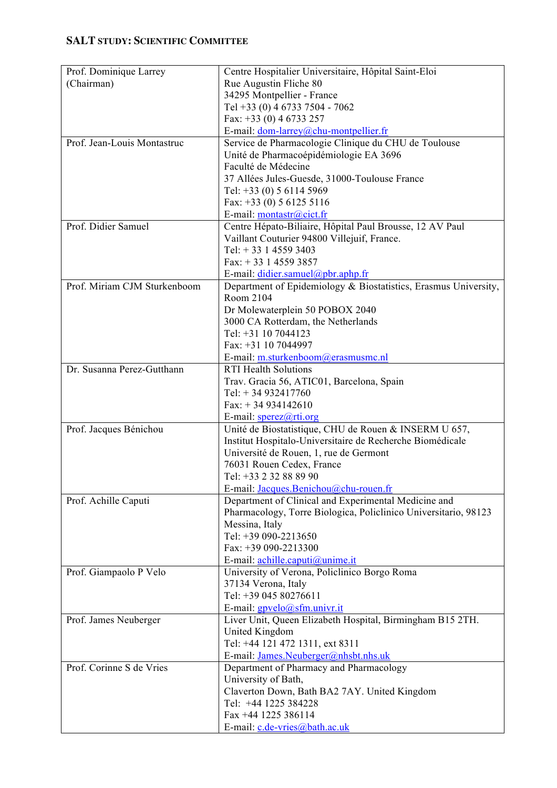## **SALT STUDY: SCIENTIFIC COMMITTEE**

| Prof. Dominique Larrey       | Centre Hospitalier Universitaire, Hôpital Saint-Eloi                 |
|------------------------------|----------------------------------------------------------------------|
| (Chairman)                   | Rue Augustin Fliche 80                                               |
|                              | 34295 Montpellier - France                                           |
|                              | Tel +33 (0) 4 6733 7504 - 7062                                       |
|                              | Fax: $+33$ (0) 4 6733 257                                            |
|                              | E-mail: dom-larrey@chu-montpellier.fr                                |
| Prof. Jean-Louis Montastruc  | Service de Pharmacologie Clinique du CHU de Toulouse                 |
|                              | Unité de Pharmacoépidémiologie EA 3696                               |
|                              | Faculté de Médecine                                                  |
|                              | 37 Allées Jules-Guesde, 31000-Toulouse France                        |
|                              | Tel: $+33$ (0) 5 6114 5969                                           |
|                              | Fax: $+33$ (0) 5 6125 5116                                           |
|                              | E-mail: montastr@cict.fr                                             |
| Prof. Didier Samuel          | Centre Hépato-Biliaire, Hôpital Paul Brousse, 12 AV Paul             |
|                              | Vaillant Couturier 94800 Villejuif, France.                          |
|                              | Tel: $+33$ 1 4559 3403                                               |
|                              | Fax: $+33$ 1 4559 3857                                               |
|                              | E-mail: didier.samuel@pbr.aphp.fr                                    |
| Prof. Miriam CJM Sturkenboom | Department of Epidemiology & Biostatistics, Erasmus University,      |
|                              | Room 2104                                                            |
|                              | Dr Molewaterplein 50 POBOX 2040                                      |
|                              | 3000 CA Rotterdam, the Netherlands                                   |
|                              | Tel: +31 10 7044123                                                  |
|                              | Fax: +31 10 7044997                                                  |
|                              |                                                                      |
| Dr. Susanna Perez-Gutthann   | E-mail: m.sturkenboom@erasmusmc.nl<br><b>RTI Health Solutions</b>    |
|                              |                                                                      |
|                              | Trav. Gracia 56, ATIC01, Barcelona, Spain                            |
|                              | Tel: $+34932417760$                                                  |
|                              | Fax: $+34934142610$                                                  |
|                              | E-mail: sperez@rti.org                                               |
| Prof. Jacques Bénichou       | Unité de Biostatistique, CHU de Rouen & INSERM U 657,                |
|                              | Institut Hospitalo-Universitaire de Recherche Biomédicale            |
|                              | Université de Rouen, 1, rue de Germont                               |
|                              | 76031 Rouen Cedex, France                                            |
|                              | Tel: +33 2 32 88 89 90                                               |
|                              | E-mail: Jacques.Benichou@chu-rouen.fr                                |
| Prof. Achille Caputi         | Department of Clinical and Experimental Medicine and                 |
|                              | Pharmacology, Torre Biologica, Policlinico Universitario, 98123      |
|                              | Messina, Italy                                                       |
|                              | Tel: +39 090-2213650                                                 |
|                              | Fax: +39 090-2213300                                                 |
|                              | E-mail: $\frac{achille.caputi(@unime.it)}{achile.caputi(@unime.it)}$ |
| Prof. Giampaolo P Velo       | University of Verona, Policlinico Borgo Roma                         |
|                              | 37134 Verona, Italy                                                  |
|                              | Tel: +39 045 80276611                                                |
|                              | E-mail: gpvelo@sfm.univr.it                                          |
| Prof. James Neuberger        | Liver Unit, Queen Elizabeth Hospital, Birmingham B15 2TH.            |
|                              | United Kingdom                                                       |
|                              | Tel: +44 121 472 1311, ext 8311                                      |
|                              | E-mail: James.Neuberger@nhsbt.nhs.uk                                 |
| Prof. Corinne S de Vries     | Department of Pharmacy and Pharmacology                              |
|                              | University of Bath,                                                  |
|                              | Claverton Down, Bath BA2 7AY. United Kingdom                         |
|                              | Tel: +44 1225 384228                                                 |
|                              | Fax +44 1225 386114                                                  |
|                              | E-mail: c.de-vries@bath.ac.uk                                        |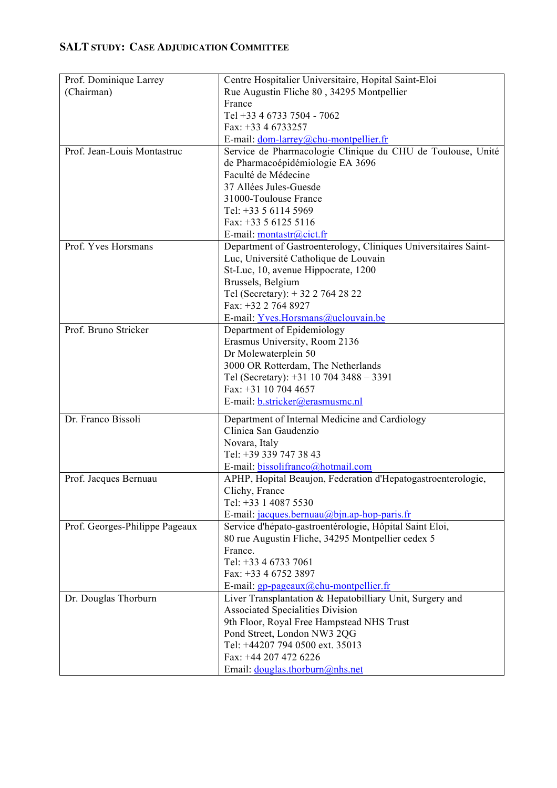## **SALT STUDY: CASE ADJUDICATION COMMITTEE**

| Prof. Dominique Larrey         | Centre Hospitalier Universitaire, Hopital Saint-Eloi                    |
|--------------------------------|-------------------------------------------------------------------------|
| (Chairman)                     | Rue Augustin Fliche 80, 34295 Montpellier                               |
|                                | France                                                                  |
|                                | Tel +33 4 6733 7504 - 7062                                              |
|                                | Fax: +33 4 6733257                                                      |
|                                | E-mail: dom-larrey@chu-montpellier.fr                                   |
| Prof. Jean-Louis Montastruc    | Service de Pharmacologie Clinique du CHU de Toulouse, Unité             |
|                                | de Pharmacoépidémiologie EA 3696                                        |
|                                | Faculté de Médecine                                                     |
|                                | 37 Allées Jules-Guesde                                                  |
|                                | 31000-Toulouse France                                                   |
|                                | Tel: +33 5 6114 5969                                                    |
|                                | Fax: $+33561255116$                                                     |
|                                | E-mail: montastr@cict.fr                                                |
| Prof. Yves Horsmans            | Department of Gastroenterology, Cliniques Universitaires Saint-         |
|                                | Luc, Université Catholique de Louvain                                   |
|                                | St-Luc, 10, avenue Hippocrate, 1200                                     |
|                                | Brussels, Belgium                                                       |
|                                | Tel (Secretary): +32 2 764 28 22<br>Fax: +32 2 764 8927                 |
|                                | E-mail: Yves.Horsmans@uclouvain.be                                      |
| Prof. Bruno Stricker           | Department of Epidemiology                                              |
|                                | Erasmus University, Room 2136                                           |
|                                | Dr Molewaterplein 50                                                    |
|                                | 3000 OR Rotterdam, The Netherlands                                      |
|                                | Tel (Secretary): $+31$ 10 704 3488 - 3391                               |
|                                | Fax: +31 10 704 4657                                                    |
|                                | E-mail: <b>b.stricker@erasmusmc.nl</b>                                  |
| Dr. Franco Bissoli             |                                                                         |
|                                | Department of Internal Medicine and Cardiology<br>Clinica San Gaudenzio |
|                                | Novara, Italy                                                           |
|                                | Tel: +39 339 747 38 43                                                  |
|                                | E-mail: bissolifranco@hotmail.com                                       |
| Prof. Jacques Bernuau          | APHP, Hopital Beaujon, Federation d'Hepatogastroenterologie,            |
|                                | Clichy, France                                                          |
|                                | Tel: +33 1 4087 5530                                                    |
|                                | E-mail: $jacques. bernuau@bin.ap-hop-paris.fr$                          |
| Prof. Georges-Philippe Pageaux | Service d'hépato-gastroentérologie, Hôpital Saint Eloi,                 |
|                                | 80 rue Augustin Fliche, 34295 Montpellier cedex 5                       |
|                                | France.                                                                 |
|                                | Tel: +33 4 6733 7061                                                    |
|                                | Fax: +33 4 6752 3897                                                    |
|                                | E-mail: $gp$ -pageaux $(a)$ chu-montpellier.fr                          |
| Dr. Douglas Thorburn           | Liver Transplantation & Hepatobilliary Unit, Surgery and                |
|                                | <b>Associated Specialities Division</b>                                 |
|                                | 9th Floor, Royal Free Hampstead NHS Trust                               |
|                                | Pond Street, London NW3 2QG                                             |
|                                | Tel: +44207 794 0500 ext. 35013                                         |
|                                | Fax: +44 207 472 6226                                                   |
|                                | Email: douglas.thorburn@nhs.net                                         |